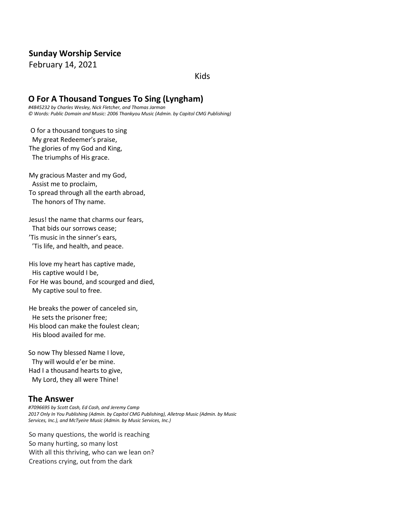# **Sunday Worship Service**

February 14, 2021

Kids

## **O For A Thousand Tongues To Sing (Lyngham)**

*#4845232 by Charles Wesley, Nick Fletcher, and Thomas Jarman © Words: Public Domain and Music: 2006 Thankyou Music (Admin. by Capitol CMG Publishing)*

O for a thousand tongues to sing My great Redeemer's praise, The glories of my God and King, The triumphs of His grace.

My gracious Master and my God, Assist me to proclaim, To spread through all the earth abroad, The honors of Thy name.

Jesus! the name that charms our fears, That bids our sorrows cease; 'Tis music in the sinner's ears, 'Tis life, and health, and peace.

His love my heart has captive made, His captive would I be, For He was bound, and scourged and died, My captive soul to free.

He breaks the power of canceled sin, He sets the prisoner free; His blood can make the foulest clean; His blood availed for me.

So now Thy blessed Name I love, Thy will would e'er be mine. Had I a thousand hearts to give, My Lord, they all were Thine!

### **The Answer**

*#7096695 by Scott Cash, Ed Cash, and Jeremy Camp 2017 Only In You Publishing (Admin. by Capitol CMG Publishing), Alletrop Music (Admin. by Music Services, Inc.), and McTyeire Music (Admin. by Music Services, Inc.)*

So many questions, the world is reaching So many hurting, so many lost With all this thriving, who can we lean on? Creations crying, out from the dark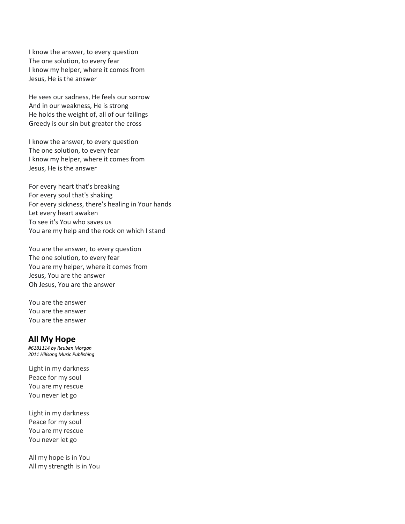I know the answer, to every question The one solution, to every fear I know my helper, where it comes from Jesus, He is the answer

He sees our sadness, He feels our sorrow And in our weakness, He is strong He holds the weight of, all of our failings Greedy is our sin but greater the cross

I know the answer, to every question The one solution, to every fear I know my helper, where it comes from Jesus, He is the answer

For every heart that's breaking For every soul that's shaking For every sickness, there's healing in Your hands Let every heart awaken To see it's You who saves us You are my help and the rock on which I stand

You are the answer, to every question The one solution, to every fear You are my helper, where it comes from Jesus, You are the answer Oh Jesus, You are the answer

You are the answer You are the answer You are the answer

### **All My Hope**

*#6181114 by Reuben Morgan 2011 Hillsong Music Publishing*

Light in my darkness Peace for my soul You are my rescue You [never](https://www.definitions.net/definition/never) let go

Light in my darkness Peace for my soul You are my rescue You [never](https://www.definitions.net/definition/never) let go

All my hope is in You All m[y strength](https://www.definitions.net/definition/strength) is in You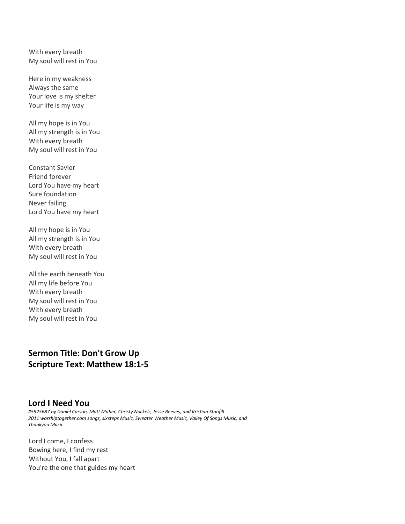With [every](https://www.definitions.net/definition/every) breath My soul will rest in You

Here in my weakness Always the same Your love is my shelter Your life is my way

All my hope is in You All m[y strength](https://www.definitions.net/definition/strength) is in You With [every](https://www.definitions.net/definition/every) breath My soul will rest in You

Constant Savior Friend forever Lord You have my heart Sure foundation Never failing Lord You have my heart

All my hope is in You All m[y strength](https://www.definitions.net/definition/strength) is in You With [every](https://www.definitions.net/definition/every) breath My soul will rest in You

All the [earth](https://www.definitions.net/definition/earth) beneath You All my life [before](https://www.definitions.net/definition/before) You With [every](https://www.definitions.net/definition/every) breath My soul will rest in You With [every](https://www.definitions.net/definition/every) breath My soul will rest in You

# **Sermon Title: Don't Grow Up Scripture Text: Matthew 18:1-5**

### **Lord I Need You**

*#5925687 by Daniel Carson, Matt Maher, Christy Nockels, Jesse Reeves, and Kristian Stanfill 2011 worshiptogether.com songs, sixsteps Music, Sweater Weather Music, Valley Of Songs Music, and Thankyou Music*

Lord I come, I confess Bowing here, I find my rest Without You, I fall apart You're the one that guides my heart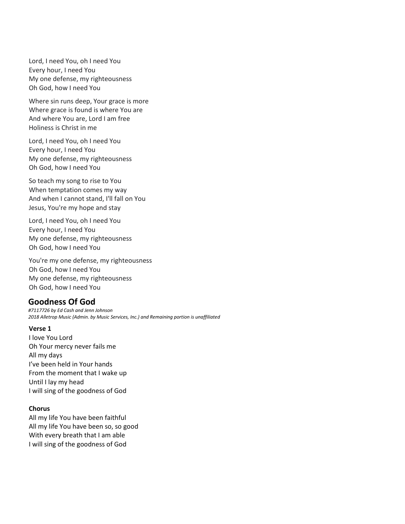Lord, I need You, oh I need You Every hour, I need You My one defense, my righteousness Oh God, how I need You

Where sin runs deep, Your grace is more Where grace is found is where You are And where You are, Lord I am free Holiness is Christ in me

Lord, I need You, oh I need You Every hour, I need You My one defense, my righteousness Oh God, how I need You

So teach my song to rise to You When temptation comes my way And when I cannot stand, I'll fall on You Jesus, You're my hope and stay

Lord, I need You, oh I need You Every hour, I need You My one defense, my righteousness Oh God, how I need You

You're my one defense, my righteousness Oh God, how I need You My one defense, my righteousness Oh God, how I need You

### **Goodness Of God**

*#7117726 by Ed Cash and Jenn Johnson 2018 Alletrop Music (Admin. by Music Services, Inc.) and Remaining portion is unaffiliated*

#### **Verse 1**

I love You Lord Oh Your mercy never fails me All my days I've been held in Your hands From the moment that I wake up Until I lay my head I will sing of the goodness of God

### **Chorus**

All my life You have been faithful All my life You have been so, so good With every breath that I am able I will sing of the goodness of God